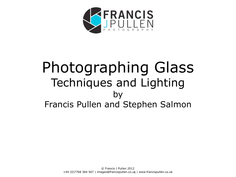

# Photographing Glass Techniques and Lighting by Francis Pullen and Stephen Salmon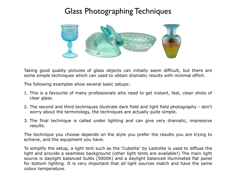# Glass Photographing Techniques



Taking good quality pictures of glass objects can initially seem difficult, but there are some simple techniques which can used to obtain dramatic results with minimal effort.

The following examples show several basic setups:

- 1. This is a favourite of many professionals who need to get instant, fast, clean shots of clear glass.
- 2. The second and third techniques illustrate dark field and light field photography don't worry about the terminology, the techniques are actually quite simple.
- 3. The final technique is called under lighting and can give very dramatic, impressive results.

The technique you choose depends on the style you prefer the results you are trying to achieve, and the equipment you have.

To simplify the setup, a light tent such as the 'Cubelite' by Lastolite is used to diffuse the light and provide a seamless background (other light tents are available!) The main light source is daylight balanced bulbs (5000K) and a daylight balanced illuminated flat panel for bottom lighting. It is very important that all light sources match and have the same colour temperature.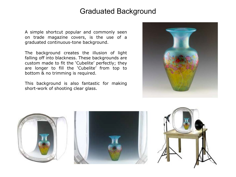#### Graduated Background

A simple shortcut popular and commonly seen on trade magazine covers, is the use of a graduated continuous-tone background.

The background creates the illusion of light falling off into blackness. These backgrounds are custom made to fit the 'Cubelite' perfectly; they are longer to fill the 'Cubelite' from top to bottom & no trimming is required.

This background is also fantastic for making short-work of shooting clear glass.





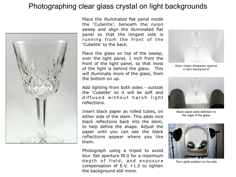#### Photographing clear glass crystal on light backgrounds



Place the illuminated flat panel inside the 'Cubelite', beneath the nylon sweep and align the illuminated flat panel so that the longest side is running from the front of the 'Cubelite' to the back.

Place the glass on top of the sweep, over the light panel, 1 inch from the front of the light panel, so that most of the light is behind the glass. This will illuminate more of the glass, from the bottom on up.



Add lighting from both sides - outside the 'Cubelite' so it will be soft and diffused without harsh light reflections.

Insert black paper as rolled tubes, on either side of the stem. This adds nice black reflections back into the stem, to help define the shape. Adjust the paper until you can see the black reflections appear where you like them.

Photograph using a tripod to avoid blur. Set aperture f8.0 for a maximum depth of field, and exposure compensation of E.V.  $+1.0$  to lighten the background still more.

Black paper adds definition to the edge of the glass



Two Lights position on the side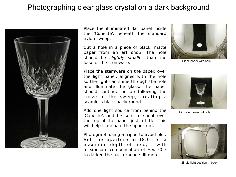## Photographing clear glass crystal on a dark background



Place the illuminated flat panel inside the 'Cubelite', beneath the standard nylon sweep.

Cut a hole in a piece of black, matte paper from an art shop. The hole should be *slightly smaller* than the base of the stemware.



Black paper with hole

Place the stemware on the paper, over the light panel, aligned with the hole so the light can shine through the hole and illuminate the glass. The paper should continue on up following the curve of the sweep, creating a seamless black background.

Add one light source from behind the 'Cubelite', and be sure to shoot over the top of the paper just a little. This will help illuminate the upper rim.

Photograph using a tripod to avoid blur. Set the aperture at f8.0 for a maximum depth of field, with a exposure compensation of E.V. -0.7 to darken the background still more.



Align stem over cut hole



Single light position in back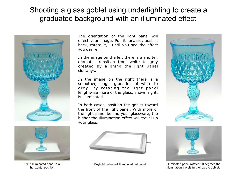### Shooting a glass goblet using underlighting to create a graduated background with an illuminated effect





6x8" Illuminated panel in a horizontal position

The orientation of the light panel will effect your image. Pull it forward, push it back, rotate it, until you see the effect you desire.

In the image on the left there is a shorter, dramatic transition from white to grey created by aligning the light panel sideways.

In the image on the right there is a smoother, longer gradation of white to grey. By rotating the light panel lengthwise more of the glass, shown right, is illuminated.

In both cases, position the goblet toward the front of the light panel. With more of the light panel behind your glassware, the higher the illumination effect will travel up your glass.







Daylight balanced illuminated flat panel **Illuminated panel rotated 90 degrees**, the illumination travels further up the goblet.